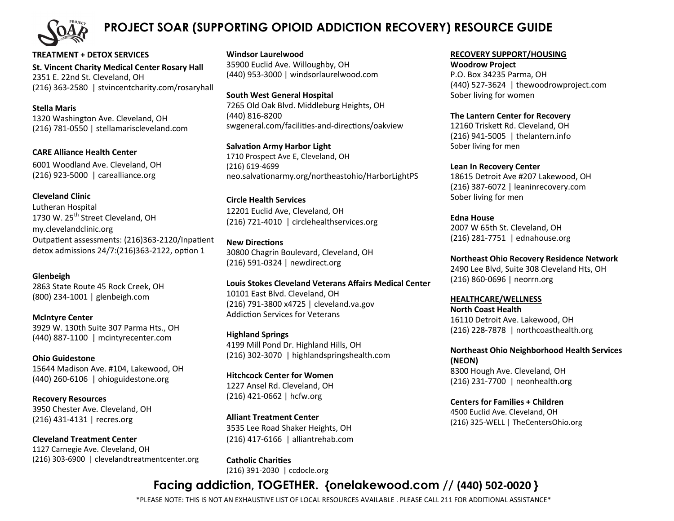

## **PROJECT SOAR (SUPPORTING OPIOID ADDICTION RECOVERY) RESOURCE GUIDE**

**TREATMENT + DETOX SERVICES St. Vincent Charity Medical Center Rosary Hall** 2351 E. 22nd St. Cleveland, OH (216) 363-2580 | stvincentcharity.com/rosaryhall

**Stella Maris** 1320 Washington Ave. Cleveland, OH (216) 781-0550 | stellamariscleveland.com

**CARE Alliance Health Center** 6001 Woodland Ave. Cleveland, OH (216) 923-5000 | carealliance.org

**Cleveland Clinic** Lutheran Hospital 1730 W. 25<sup>th</sup> Street Cleveland, OH my.clevelandclinic.org Outpatient assessments: (216)363-2120/Inpatient detox admissions 24/7:(216)363-2122, option 1

**Glenbeigh** 2863 State Route 45 Rock Creek, OH (800) 234-1001 | glenbeigh.com

**McIntyre Center** 3929 W. 130th Suite 307 Parma Hts., OH (440) 887-1100 | mcintyrecenter.com

**Ohio Guidestone** 15644 Madison Ave. #104, Lakewood, OH (440) 260-6106 | ohioguidestone.org

**Recovery Resources** 3950 Chester Ave. Cleveland, OH (216) 431-4131 | recres.org

**Cleveland Treatment Center** 1127 Carnegie Ave. Cleveland, OH (216) 303-6900 | clevelandtreatmentcenter.org **Windsor Laurelwood** 35900 Euclid Ave. Willoughby, OH (440) 953-3000 | windsorlaurelwood.com

**South West General Hospital** 7265 Old Oak Blvd. Middleburg Heights, OH (440) 816-8200 swgeneral.com/facilities-and-directions/oakview

**Salvation Army Harbor Light** 1710 Prospect Ave E, Cleveland, OH (216) 619-4699 neo.salvationarmy.org/northeastohio/HarborLightPS

**Circle Health Services** 12201 Euclid Ave, Cleveland, OH (216) 721-4010 | circlehealthservices.org

**New Directions** 30800 Chagrin Boulevard, Cleveland, OH (216) 591-0324 | newdirect.org

**Louis Stokes Cleveland Veterans Affairs Medical Center** 10101 East Blvd. Cleveland, OH (216) 791-3800 x4725 | cleveland.va.gov Addiction Services for Veterans

**Highland Springs**  4199 Mill Pond Dr. Highland Hills, OH (216) 302-3070 | highlandspringshealth.com

**Hitchcock Center for Women** 1227 Ansel Rd. Cleveland, OH (216) 421-0662 | hcfw.org

**Alliant Treatment Center** 3535 Lee Road Shaker Heights, OH (216) 417-6166 | alliantrehab.com

**Catholic Charities** (216) 391-2030 | ccdocle.org

#### **RECOVERY SUPPORT/HOUSING**

**Woodrow Project** P.O. Box 34235 Parma, OH (440) 527-3624 | thewoodrowproject.com Sober living for women

**The Lantern Center for Recovery** 12160 Triskett Rd. Cleveland, OH (216) 941-5005 | thelantern.info Sober living for men

**Lean In Recovery Center** 18615 Detroit Ave #207 Lakewood, OH (216) 387-6072 | leaninrecovery.com Sober living for men

**Edna House** 2007 W 65th St. Cleveland, OH (216) 281-7751 | ednahouse.org

**Northeast Ohio Recovery Residence Network** 2490 Lee Blvd, Suite 308 Cleveland Hts, OH (216) 860-0696 | neorrn.org

**HEALTHCARE/WELLNESS North Coast Health** 16110 Detroit Ave. Lakewood, OH (216) 228-7878 | northcoasthealth.org

**Northeast Ohio Neighborhood Health Services (NEON)** 8300 Hough Ave. Cleveland, OH (216) 231-7700 | neonhealth.org

**Centers for Families + Children** 4500 Euclid Ave. Cleveland, OH (216) 325-WELL | TheCentersOhio.org

# **Facing addiction, TOGETHER. {onelakewood.com // (440) 502-0020 }**

\*PLEASE NOTE: THIS IS NOT AN EXHAUSTIVE LIST OF LOCAL RESOURCES AVAILABLE . PLEASE CALL 211 FOR ADDITIONAL ASSISTANCE\*